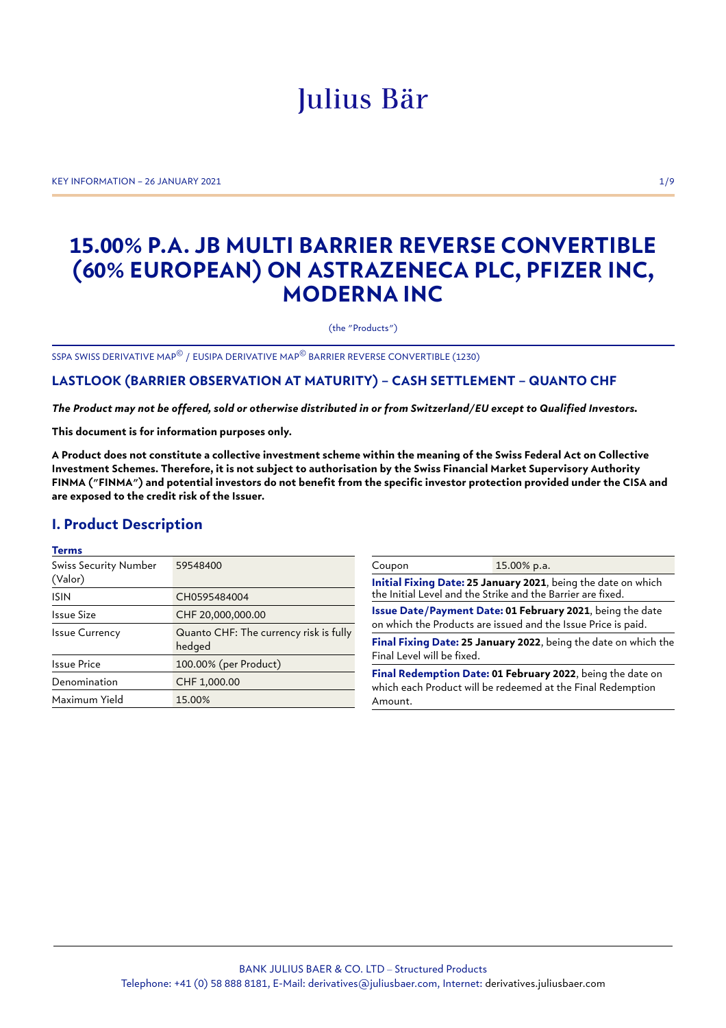# Julius Bär

KEY INFORMATION – 26 JANUARY 2021 1/9

## **15.00% P.A. JB MULTI BARRIER REVERSE CONVERTIBLE (60% EUROPEAN) ON ASTRAZENECA PLC, PFIZER INC, MODERNA INC**

(the "Products")

SSPA SWISS DERIVATIVE MAP© / EUSIPA DERIVATIVE MAP© BARRIER REVERSE CONVERTIBLE (1230)

## **LASTLOOK (BARRIER OBSERVATION AT MATURITY) – CASH SETTLEMENT – QUANTO CHF**

*The Product may not be offered, sold or otherwise distributed in or from Switzerland/EU except to Qualified Investors.*

**This document is for information purposes only.**

**A Product does not constitute a collective investment scheme within the meaning of the Swiss Federal Act on Collective Investment Schemes. Therefore, it is not subject to authorisation by the Swiss Financial Market Supervisory Authority FINMA ("FINMA") and potential investors do not benefit from the specific investor protection provided under the CISA and are exposed to the credit risk of the Issuer.**

## **I. Product Description**

#### **Terms**

| <b>Swiss Security Number</b><br>(Valor)                                   | 59548400              |  |
|---------------------------------------------------------------------------|-----------------------|--|
| <b>ISIN</b>                                                               | CH0595484004          |  |
| Issue Size                                                                | CHF 20,000,000.00     |  |
| Quanto CHF: The currency risk is fully<br><b>Issue Currency</b><br>hedged |                       |  |
| Issue Price                                                               | 100.00% (per Product) |  |
| Denomination                                                              | CHF 1,000.00          |  |
| Maximum Yield                                                             | 15.00%                |  |

| Coupon                                                                                                                               | 15.00% p.a. |  |
|--------------------------------------------------------------------------------------------------------------------------------------|-------------|--|
| Initial Fixing Date: 25 January 2021, being the date on which<br>the Initial Level and the Strike and the Barrier are fixed.         |             |  |
| Issue Date/Payment Date: 01 February 2021, being the date<br>on which the Products are issued and the Issue Price is paid.           |             |  |
| Final Fixing Date: 25 January 2022, being the date on which the<br>Final Level will be fixed.                                        |             |  |
| Final Redemption Date: 01 February 2022, being the date on<br>which each Product will be redeemed at the Final Redemption<br>Amount. |             |  |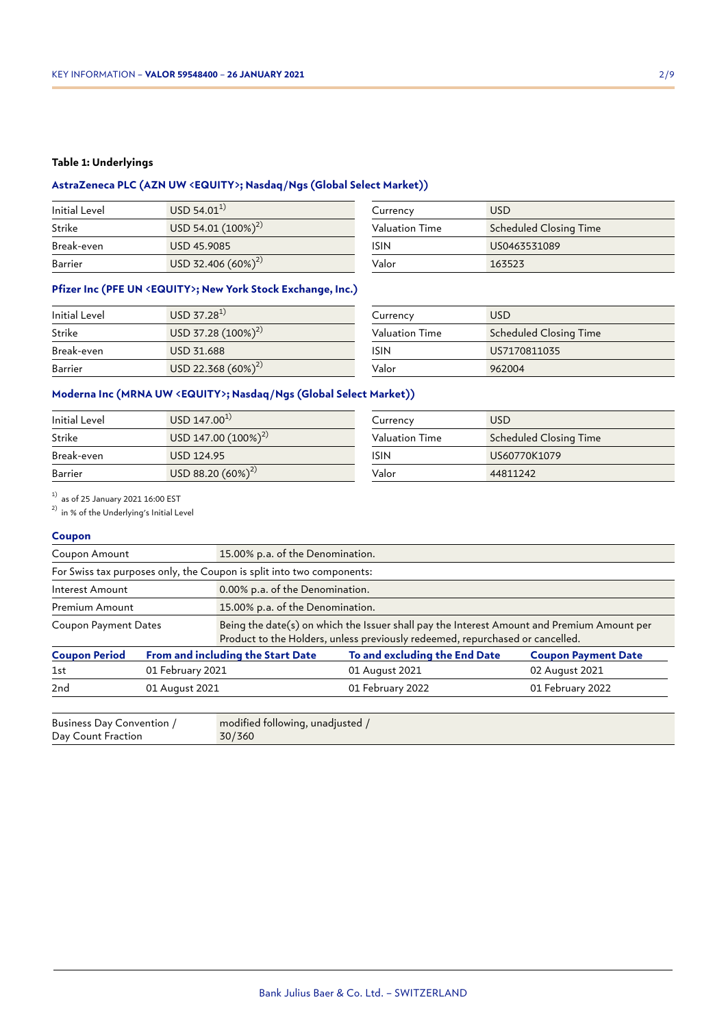#### **Table 1: Underlyings**

## **AstraZeneca PLC (AZN UW <EQUITY>; Nasdaq/Ngs (Global Select Market))**

| Initial Level | $USD 54.01^{1}$         |
|---------------|-------------------------|
| Strike        | USD 54.01 $(100\%)^{2}$ |
| Break-even    | USD 45,9085             |
| Barrier       | USD 32.406 $(60\%)^2$   |

| Currency              | <b>USD</b>                    |
|-----------------------|-------------------------------|
| <b>Valuation Time</b> | <b>Scheduled Closing Time</b> |
| <b>ISIN</b>           | US0463531089                  |
| Valor                 | 163523                        |

### **Pfizer Inc (PFE UN <EQUITY>; New York Stock Exchange, Inc.)**

| Initial Level | USD 37.28 <sup>1</sup>  |  |
|---------------|-------------------------|--|
| Strike        | USD 37.28 $(100\%)^{2}$ |  |
| Break-even    | USD 31.688              |  |
| Barrier       | USD 22.368 $(60\%)^{2}$ |  |

| Currency              | <b>USD</b>                    |
|-----------------------|-------------------------------|
| <b>Valuation Time</b> | <b>Scheduled Closing Time</b> |
| <b>ISIN</b>           | US7170811035                  |
| Valor                 | 962004                        |

## **Moderna Inc (MRNA UW <EQUITY>; Nasdaq/Ngs (Global Select Market))**

| Initial Level | USD 147.00 <sup>1</sup>  | Currency       | <b>USD</b>             |
|---------------|--------------------------|----------------|------------------------|
| Strike        | USD 147.00 $(100\%)^{2}$ | Valuation Time | Scheduled Closing Time |
| Break-even    | USD 124.95               | ISIN           | US60770K1079           |
| Barrier       | USD 88.20 $(60\%)^{2}$   | Valor          | 44811242               |

 $^{1)}$  as of 25 January 2021 16:00 EST

2) in % of the Underlying's Initial Level

#### **Coupon**

| Coupon Amount                                                         | 15.00% p.a. of the Denomination. |                                                                                                                                                                             |                               |                            |
|-----------------------------------------------------------------------|----------------------------------|-----------------------------------------------------------------------------------------------------------------------------------------------------------------------------|-------------------------------|----------------------------|
| For Swiss tax purposes only, the Coupon is split into two components: |                                  |                                                                                                                                                                             |                               |                            |
| Interest Amount                                                       |                                  | 0.00% p.a. of the Denomination.                                                                                                                                             |                               |                            |
| Premium Amount                                                        |                                  | 15.00% p.a. of the Denomination.                                                                                                                                            |                               |                            |
| <b>Coupon Payment Dates</b>                                           |                                  | Being the date(s) on which the Issuer shall pay the Interest Amount and Premium Amount per<br>Product to the Holders, unless previously redeemed, repurchased or cancelled. |                               |                            |
| <b>Coupon Period</b>                                                  |                                  | From and including the Start Date                                                                                                                                           | To and excluding the End Date | <b>Coupon Payment Date</b> |
| 1st                                                                   | 01 February 2021                 |                                                                                                                                                                             | 01 August 2021                | 02 August 2021             |
| 2nd                                                                   | 01 August 2021                   |                                                                                                                                                                             | 01 February 2022              | 01 February 2022           |
|                                                                       |                                  |                                                                                                                                                                             |                               |                            |

| Business Day Convention / | modified following, unadjusted / |
|---------------------------|----------------------------------|
| Day Count Fraction        | 30/360                           |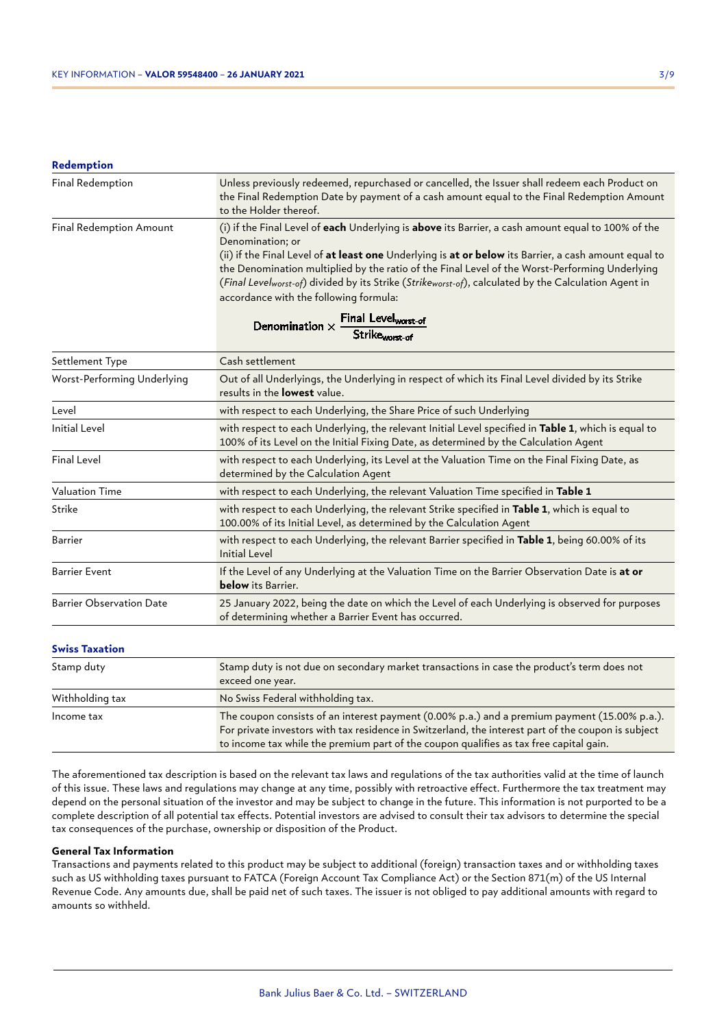#### **Redemption**

| Final Redemption               | Unless previously redeemed, repurchased or cancelled, the Issuer shall redeem each Product on<br>the Final Redemption Date by payment of a cash amount equal to the Final Redemption Amount<br>to the Holder thereof.                                                                                                                                                                                                                                                                                                                                                                     |
|--------------------------------|-------------------------------------------------------------------------------------------------------------------------------------------------------------------------------------------------------------------------------------------------------------------------------------------------------------------------------------------------------------------------------------------------------------------------------------------------------------------------------------------------------------------------------------------------------------------------------------------|
| <b>Final Redemption Amount</b> | (i) if the Final Level of each Underlying is above its Barrier, a cash amount equal to 100% of the<br>Denomination; or<br>(ii) if the Final Level of at least one Underlying is at or below its Barrier, a cash amount equal to<br>the Denomination multiplied by the ratio of the Final Level of the Worst-Performing Underlying<br>(Final Levelworst-of) divided by its Strike (Strikeworst-of), calculated by the Calculation Agent in<br>accordance with the following formula:<br>Denomination $\times \frac{\text{Final Level}_{\text{worst-of}}}{\text{Strike}_{\text{worst-of}}}$ |

| Settlement Type                                                                                                                                                                                                                                                                                             | Cash settlement                                                                                                                                                                             |  |
|-------------------------------------------------------------------------------------------------------------------------------------------------------------------------------------------------------------------------------------------------------------------------------------------------------------|---------------------------------------------------------------------------------------------------------------------------------------------------------------------------------------------|--|
| Worst-Performing Underlying                                                                                                                                                                                                                                                                                 | Out of all Underlyings, the Underlying in respect of which its Final Level divided by its Strike<br>results in the <b>lowest</b> value.                                                     |  |
| Level                                                                                                                                                                                                                                                                                                       | with respect to each Underlying, the Share Price of such Underlying                                                                                                                         |  |
| <b>Initial Level</b>                                                                                                                                                                                                                                                                                        | with respect to each Underlying, the relevant Initial Level specified in Table 1, which is equal to<br>100% of its Level on the Initial Fixing Date, as determined by the Calculation Agent |  |
| <b>Final Level</b>                                                                                                                                                                                                                                                                                          | with respect to each Underlying, its Level at the Valuation Time on the Final Fixing Date, as<br>determined by the Calculation Agent                                                        |  |
| <b>Valuation Time</b>                                                                                                                                                                                                                                                                                       | with respect to each Underlying, the relevant Valuation Time specified in Table 1                                                                                                           |  |
| Strike                                                                                                                                                                                                                                                                                                      | with respect to each Underlying, the relevant Strike specified in Table 1, which is equal to<br>100.00% of its Initial Level, as determined by the Calculation Agent                        |  |
| Barrier                                                                                                                                                                                                                                                                                                     | with respect to each Underlying, the relevant Barrier specified in Table 1, being 60.00% of its<br><b>Initial Level</b>                                                                     |  |
| <b>Barrier Event</b>                                                                                                                                                                                                                                                                                        | If the Level of any Underlying at the Valuation Time on the Barrier Observation Date is at or<br><b>below</b> its Barrier.                                                                  |  |
| 25 January 2022, being the date on which the Level of each Underlying is observed for purposes<br><b>Barrier Observation Date</b><br>of determining whether a Barrier Event has occurred.                                                                                                                   |                                                                                                                                                                                             |  |
| <b>Swiss Taxation</b>                                                                                                                                                                                                                                                                                       |                                                                                                                                                                                             |  |
| Stamp duty                                                                                                                                                                                                                                                                                                  | Stamp duty is not due on secondary market transactions in case the product's term does not<br>exceed one year.                                                                              |  |
| Withholding tax                                                                                                                                                                                                                                                                                             | No Swiss Federal withholding tax.                                                                                                                                                           |  |
| The coupon consists of an interest payment (0.00% p.a.) and a premium payment (15.00% p.a.).<br>Income tax<br>For private investors with tax residence in Switzerland, the interest part of the coupon is subject<br>to income tax while the premium part of the coupon qualifies as tax free capital gain. |                                                                                                                                                                                             |  |

The aforementioned tax description is based on the relevant tax laws and regulations of the tax authorities valid at the time of launch of this issue. These laws and regulations may change at any time, possibly with retroactive effect. Furthermore the tax treatment may depend on the personal situation of the investor and may be subject to change in the future. This information is not purported to be a complete description of all potential tax effects. Potential investors are advised to consult their tax advisors to determine the special tax consequences of the purchase, ownership or disposition of the Product.

#### **General Tax Information**

Transactions and payments related to this product may be subject to additional (foreign) transaction taxes and or withholding taxes such as US withholding taxes pursuant to FATCA (Foreign Account Tax Compliance Act) or the Section 871(m) of the US Internal Revenue Code. Any amounts due, shall be paid net of such taxes. The issuer is not obliged to pay additional amounts with regard to amounts so withheld.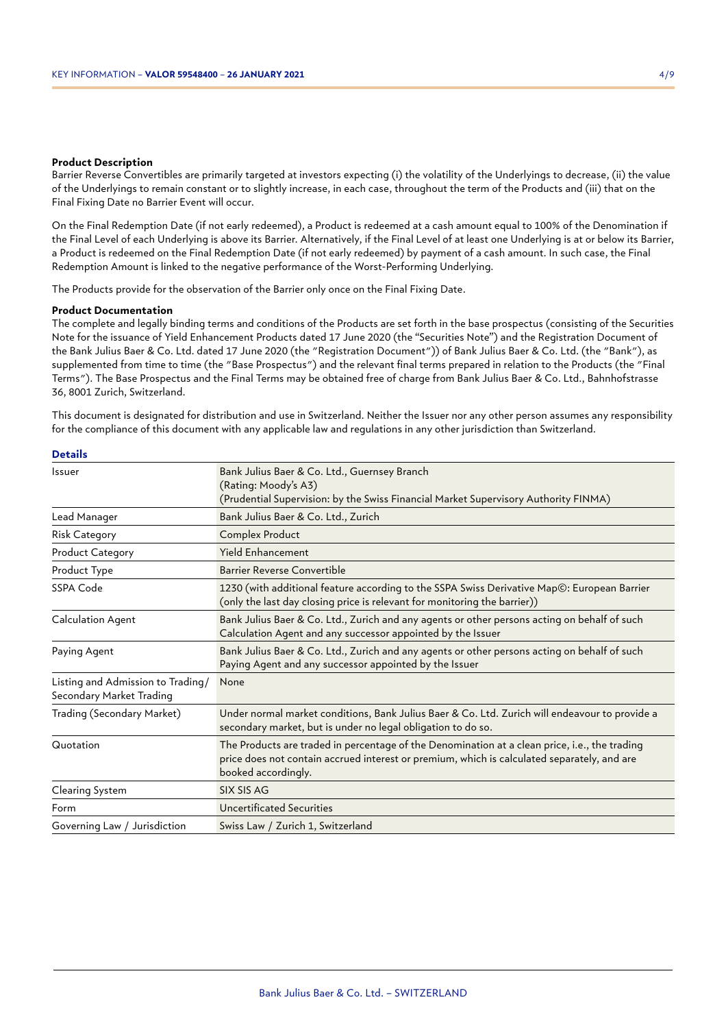#### **Product Description**

Barrier Reverse Convertibles are primarily targeted at investors expecting (i) the volatility of the Underlyings to decrease, (ii) the value of the Underlyings to remain constant or to slightly increase, in each case, throughout the term of the Products and (iii) that on the Final Fixing Date no Barrier Event will occur.

On the Final Redemption Date (if not early redeemed), a Product is redeemed at a cash amount equal to 100% of the Denomination if the Final Level of each Underlying is above its Barrier. Alternatively, if the Final Level of at least one Underlying is at or below its Barrier, a Product is redeemed on the Final Redemption Date (if not early redeemed) by payment of a cash amount. In such case, the Final Redemption Amount is linked to the negative performance of the Worst-Performing Underlying.

The Products provide for the observation of the Barrier only once on the Final Fixing Date.

#### **Product Documentation**

The complete and legally binding terms and conditions of the Products are set forth in the base prospectus (consisting of the Securities Note for the issuance of Yield Enhancement Products dated 17 June 2020 (the "Securities Note") and the Registration Document of the Bank Julius Baer & Co. Ltd. dated 17 June 2020 (the "Registration Document")) of Bank Julius Baer & Co. Ltd. (the "Bank"), as supplemented from time to time (the "Base Prospectus") and the relevant final terms prepared in relation to the Products (the "Final Terms"). The Base Prospectus and the Final Terms may be obtained free of charge from Bank Julius Baer & Co. Ltd., Bahnhofstrasse 36, 8001 Zurich, Switzerland.

This document is designated for distribution and use in Switzerland. Neither the Issuer nor any other person assumes any responsibility for the compliance of this document with any applicable law and regulations in any other jurisdiction than Switzerland.

| Issuer                                                        | Bank Julius Baer & Co. Ltd., Guernsey Branch<br>(Rating: Moody's A3)<br>(Prudential Supervision: by the Swiss Financial Market Supervisory Authority FINMA)                                                         |
|---------------------------------------------------------------|---------------------------------------------------------------------------------------------------------------------------------------------------------------------------------------------------------------------|
| Lead Manager                                                  | Bank Julius Baer & Co. Ltd., Zurich                                                                                                                                                                                 |
| <b>Risk Category</b>                                          | Complex Product                                                                                                                                                                                                     |
| <b>Product Category</b>                                       | <b>Yield Enhancement</b>                                                                                                                                                                                            |
| Product Type                                                  | Barrier Reverse Convertible                                                                                                                                                                                         |
| SSPA Code                                                     | 1230 (with additional feature according to the SSPA Swiss Derivative Map©: European Barrier<br>(only the last day closing price is relevant for monitoring the barrier))                                            |
| Calculation Agent                                             | Bank Julius Baer & Co. Ltd., Zurich and any agents or other persons acting on behalf of such<br>Calculation Agent and any successor appointed by the Issuer                                                         |
| Paying Agent                                                  | Bank Julius Baer & Co. Ltd., Zurich and any agents or other persons acting on behalf of such<br>Paying Agent and any successor appointed by the Issuer                                                              |
| Listing and Admission to Trading/<br>Secondary Market Trading | None                                                                                                                                                                                                                |
| Trading (Secondary Market)                                    | Under normal market conditions, Bank Julius Baer & Co. Ltd. Zurich will endeavour to provide a<br>secondary market, but is under no legal obligation to do so.                                                      |
| Quotation                                                     | The Products are traded in percentage of the Denomination at a clean price, i.e., the trading<br>price does not contain accrued interest or premium, which is calculated separately, and are<br>booked accordingly. |
| Clearing System                                               | SIX SIS AG                                                                                                                                                                                                          |
| Form                                                          | <b>Uncertificated Securities</b>                                                                                                                                                                                    |
| Governing Law / Jurisdiction                                  | Swiss Law / Zurich 1, Switzerland                                                                                                                                                                                   |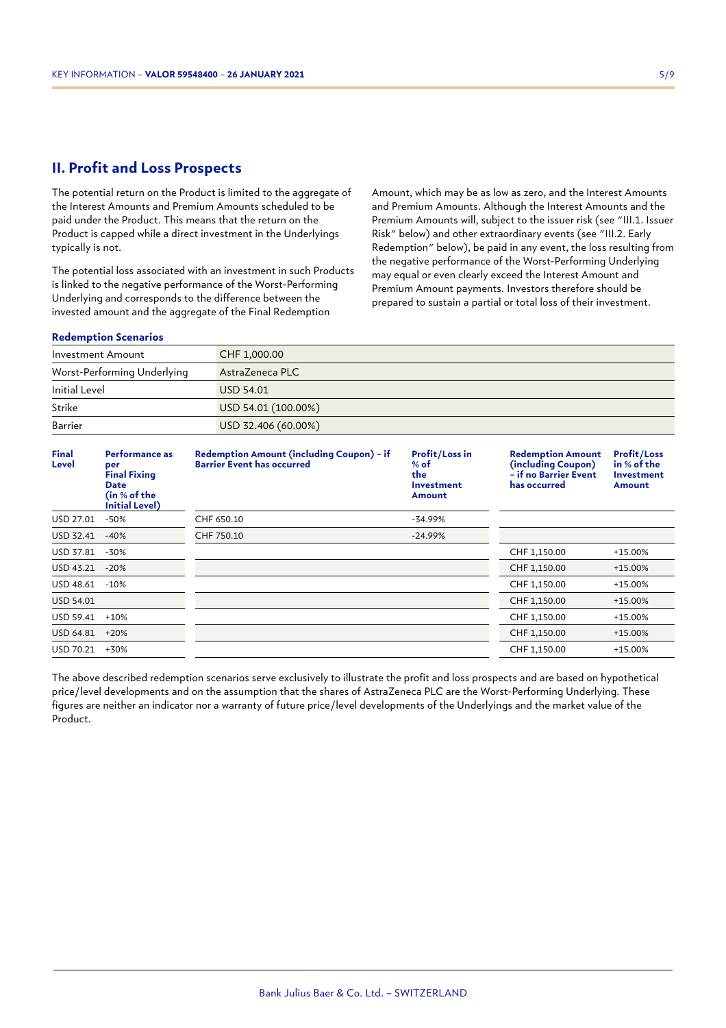## **II. Profit and Loss Prospects**

The potential return on the Product is limited to the aggregate of the Interest Amounts and Premium Amounts scheduled to be paid under the Product. This means that the return on the Product is capped while a direct investment in the Underlyings typically is not.

The potential loss associated with an investment in such Products is linked to the negative performance of the Worst-Performing Underlying and corresponds to the difference between the invested amount and the aggregate of the Final Redemption

Amount, which may be as low as zero, and the Interest Amounts and Premium Amounts. Although the Interest Amounts and the Premium Amounts will, subject to the issuer risk (see "III.1. Issuer Risk" below) and other extraordinary events (see "III.2. Early Redemption" below), be paid in any event, the loss resulting from the negative performance of the Worst-Performing Underlying may equal or even clearly exceed the Interest Amount and Premium Amount payments. Investors therefore should be prepared to sustain a partial or total loss of their investment.

#### **Redemption Scenarios**

| Investment Amount           | CHF 1,000.00        |
|-----------------------------|---------------------|
| Worst-Performing Underlying | AstraZeneca PLC     |
| Initial Level               | USD 54.01           |
| Strike                      | USD 54.01 (100.00%) |
| Barrier                     | USD 32.406 (60.00%) |

| Final<br>Level   | Performance as<br>per<br><b>Final Fixing</b><br><b>Date</b><br>(in % of the<br><b>Initial Level)</b> | <b>Redemption Amount (including Coupon) - if</b><br><b>Barrier Event has occurred</b> | <b>Profit/Loss in</b><br>$%$ of<br>the<br>Investment<br>Amount | <b>Redemption Amount</b><br>(including Coupon)<br>- if no Barrier Event<br>has occurred | <b>Profit/Loss</b><br>in % of the<br><b>Investment</b><br>Amount |
|------------------|------------------------------------------------------------------------------------------------------|---------------------------------------------------------------------------------------|----------------------------------------------------------------|-----------------------------------------------------------------------------------------|------------------------------------------------------------------|
| USD 27.01        | $-50%$                                                                                               | CHF 650.10                                                                            | $-34.99%$                                                      |                                                                                         |                                                                  |
| USD 32.41        | $-40%$                                                                                               | CHF 750.10                                                                            | $-24.99%$                                                      |                                                                                         |                                                                  |
| USD 37.81        | $-30%$                                                                                               |                                                                                       |                                                                | CHF 1,150.00                                                                            | $+15.00%$                                                        |
| USD 43.21        | $-20%$                                                                                               |                                                                                       |                                                                | CHF 1,150.00                                                                            | +15.00%                                                          |
| USD 48.61        | $-10%$                                                                                               |                                                                                       |                                                                | CHF 1,150.00                                                                            | +15.00%                                                          |
| <b>USD 54.01</b> |                                                                                                      |                                                                                       |                                                                | CHF 1,150.00                                                                            | $+15.00%$                                                        |
| USD 59.41        | $+10%$                                                                                               |                                                                                       |                                                                | CHF 1,150.00                                                                            | $+15.00%$                                                        |
| USD 64.81        | $+20%$                                                                                               |                                                                                       |                                                                | CHF 1,150.00                                                                            | +15.00%                                                          |
| USD 70.21        | +30%                                                                                                 |                                                                                       |                                                                | CHF 1,150.00                                                                            | $+15.00%$                                                        |

The above described redemption scenarios serve exclusively to illustrate the profit and loss prospects and are based on hypothetical price/level developments and on the assumption that the shares of AstraZeneca PLC are the Worst-Performing Underlying. These figures are neither an indicator nor a warranty of future price/level developments of the Underlyings and the market value of the Product.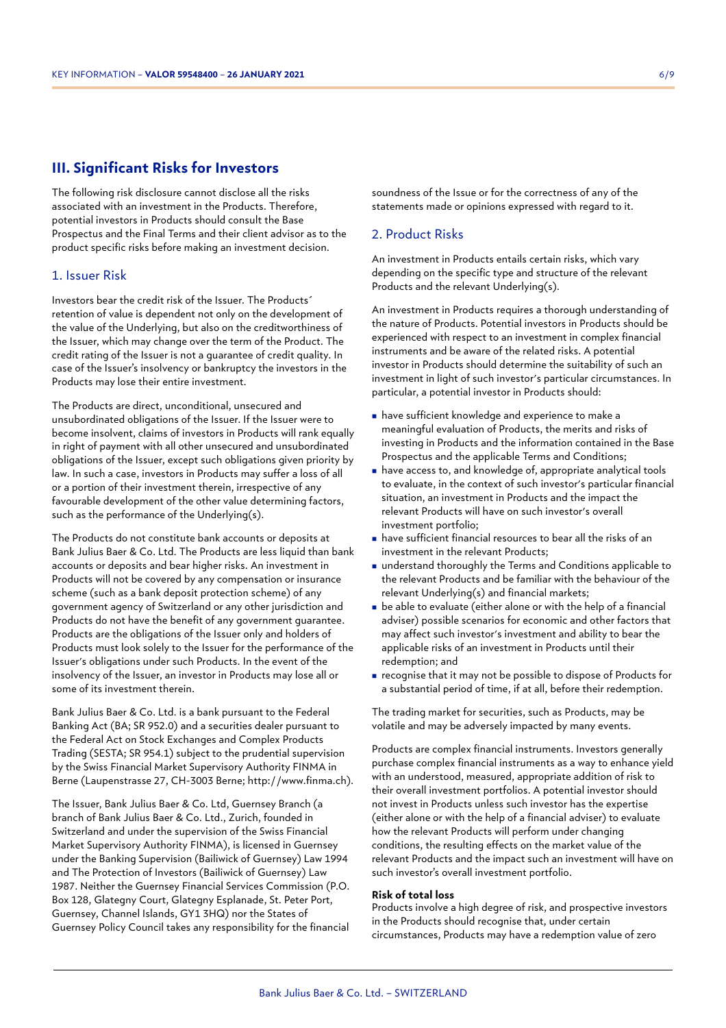## **III. Significant Risks for Investors**

The following risk disclosure cannot disclose all the risks associated with an investment in the Products. Therefore, potential investors in Products should consult the Base Prospectus and the Final Terms and their client advisor as to the product specific risks before making an investment decision.

#### 1. Issuer Risk

Investors bear the credit risk of the Issuer. The Products´ retention of value is dependent not only on the development of the value of the Underlying, but also on the creditworthiness of the Issuer, which may change over the term of the Product. The credit rating of the Issuer is not a guarantee of credit quality. In case of the Issuer's insolvency or bankruptcy the investors in the Products may lose their entire investment.

The Products are direct, unconditional, unsecured and unsubordinated obligations of the Issuer. If the Issuer were to become insolvent, claims of investors in Products will rank equally in right of payment with all other unsecured and unsubordinated obligations of the Issuer, except such obligations given priority by law. In such a case, investors in Products may suffer a loss of all or a portion of their investment therein, irrespective of any favourable development of the other value determining factors, such as the performance of the Underlying(s).

The Products do not constitute bank accounts or deposits at Bank Julius Baer & Co. Ltd. The Products are less liquid than bank accounts or deposits and bear higher risks. An investment in Products will not be covered by any compensation or insurance scheme (such as a bank deposit protection scheme) of any government agency of Switzerland or any other jurisdiction and Products do not have the benefit of any government guarantee. Products are the obligations of the Issuer only and holders of Products must look solely to the Issuer for the performance of the Issuer's obligations under such Products. In the event of the insolvency of the Issuer, an investor in Products may lose all or some of its investment therein.

Bank Julius Baer & Co. Ltd. is a bank pursuant to the Federal Banking Act (BA; SR 952.0) and a securities dealer pursuant to the Federal Act on Stock Exchanges and Complex Products Trading (SESTA; SR 954.1) subject to the prudential supervision by the Swiss Financial Market Supervisory Authority FINMA in Berne (Laupenstrasse 27, CH-3003 Berne; http://www.finma.ch).

The Issuer, Bank Julius Baer & Co. Ltd, Guernsey Branch (a branch of Bank Julius Baer & Co. Ltd., Zurich, founded in Switzerland and under the supervision of the Swiss Financial Market Supervisory Authority FINMA), is licensed in Guernsey under the Banking Supervision (Bailiwick of Guernsey) Law 1994 and The Protection of Investors (Bailiwick of Guernsey) Law 1987. Neither the Guernsey Financial Services Commission (P.O. Box 128, Glategny Court, Glategny Esplanade, St. Peter Port, Guernsey, Channel Islands, GY1 3HQ) nor the States of Guernsey Policy Council takes any responsibility for the financial soundness of the Issue or for the correctness of any of the statements made or opinions expressed with regard to it.

## 2. Product Risks

An investment in Products entails certain risks, which vary depending on the specific type and structure of the relevant Products and the relevant Underlying(s).

An investment in Products requires a thorough understanding of the nature of Products. Potential investors in Products should be experienced with respect to an investment in complex financial instruments and be aware of the related risks. A potential investor in Products should determine the suitability of such an investment in light of such investor's particular circumstances. In particular, a potential investor in Products should:

- <sup>n</sup> have sufficient knowledge and experience to make a meaningful evaluation of Products, the merits and risks of investing in Products and the information contained in the Base Prospectus and the applicable Terms and Conditions;
- <sup>n</sup> have access to, and knowledge of, appropriate analytical tools to evaluate, in the context of such investor's particular financial situation, an investment in Products and the impact the relevant Products will have on such investor's overall investment portfolio;
- <sup>n</sup> have sufficient financial resources to bear all the risks of an investment in the relevant Products;
- understand thoroughly the Terms and Conditions applicable to the relevant Products and be familiar with the behaviour of the relevant Underlying(s) and financial markets;
- $\blacksquare$  be able to evaluate (either alone or with the help of a financial adviser) possible scenarios for economic and other factors that may affect such investor's investment and ability to bear the applicable risks of an investment in Products until their redemption; and
- <sup>n</sup> recognise that it may not be possible to dispose of Products for a substantial period of time, if at all, before their redemption.

The trading market for securities, such as Products, may be volatile and may be adversely impacted by many events.

Products are complex financial instruments. Investors generally purchase complex financial instruments as a way to enhance yield with an understood, measured, appropriate addition of risk to their overall investment portfolios. A potential investor should not invest in Products unless such investor has the expertise (either alone or with the help of a financial adviser) to evaluate how the relevant Products will perform under changing conditions, the resulting effects on the market value of the relevant Products and the impact such an investment will have on such investor's overall investment portfolio.

#### **Risk of total loss**

Products involve a high degree of risk, and prospective investors in the Products should recognise that, under certain circumstances, Products may have a redemption value of zero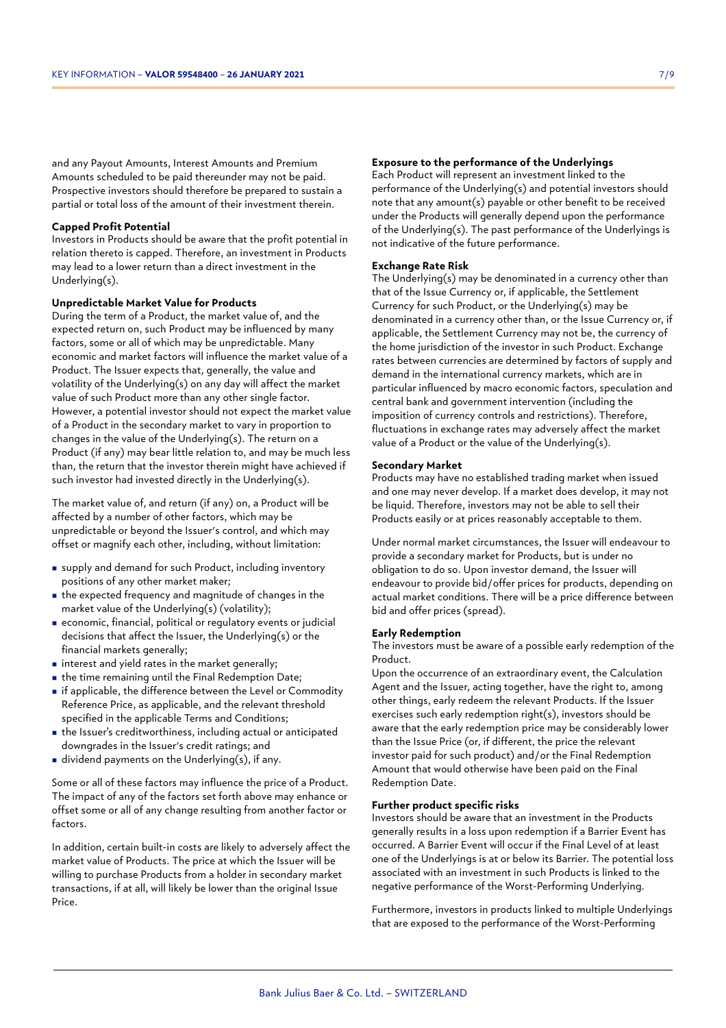and any Payout Amounts, Interest Amounts and Premium Amounts scheduled to be paid thereunder may not be paid. Prospective investors should therefore be prepared to sustain a partial or total loss of the amount of their investment therein.

#### **Capped Profit Potential**

Investors in Products should be aware that the profit potential in relation thereto is capped. Therefore, an investment in Products may lead to a lower return than a direct investment in the Underlying(s).

#### **Unpredictable Market Value for Products**

During the term of a Product, the market value of, and the expected return on, such Product may be influenced by many factors, some or all of which may be unpredictable. Many economic and market factors will influence the market value of a Product. The Issuer expects that, generally, the value and volatility of the Underlying(s) on any day will affect the market value of such Product more than any other single factor. However, a potential investor should not expect the market value of a Product in the secondary market to vary in proportion to changes in the value of the Underlying(s). The return on a Product (if any) may bear little relation to, and may be much less than, the return that the investor therein might have achieved if such investor had invested directly in the Underlying(s).

The market value of, and return (if any) on, a Product will be affected by a number of other factors, which may be unpredictable or beyond the Issuer's control, and which may offset or magnify each other, including, without limitation:

- <sup>n</sup> supply and demand for such Product, including inventory positions of any other market maker;
- $\blacksquare$  the expected frequency and magnitude of changes in the market value of the Underlying(s) (volatility);
- <sup>n</sup> economic, financial, political or regulatory events or judicial decisions that affect the Issuer, the Underlying(s) or the financial markets generally;
- $\blacksquare$  interest and yield rates in the market generally;
- $\blacksquare$  the time remaining until the Final Redemption Date;
- <sup>n</sup> if applicable, the difference between the Level or Commodity Reference Price, as applicable, and the relevant threshold specified in the applicable Terms and Conditions;
- <sup>n</sup> the Issuer's creditworthiness, including actual or anticipated downgrades in the Issuer's credit ratings; and
- in dividend payments on the Underlying(s), if any.

Some or all of these factors may influence the price of a Product. The impact of any of the factors set forth above may enhance or offset some or all of any change resulting from another factor or factors.

In addition, certain built-in costs are likely to adversely affect the market value of Products. The price at which the Issuer will be willing to purchase Products from a holder in secondary market transactions, if at all, will likely be lower than the original Issue Price.

#### **Exposure to the performance of the Underlyings**

Each Product will represent an investment linked to the performance of the Underlying(s) and potential investors should note that any amount(s) payable or other benefit to be received under the Products will generally depend upon the performance of the Underlying(s). The past performance of the Underlyings is not indicative of the future performance.

#### **Exchange Rate Risk**

The Underlying(s) may be denominated in a currency other than that of the Issue Currency or, if applicable, the Settlement Currency for such Product, or the Underlying(s) may be denominated in a currency other than, or the Issue Currency or, if applicable, the Settlement Currency may not be, the currency of the home jurisdiction of the investor in such Product. Exchange rates between currencies are determined by factors of supply and demand in the international currency markets, which are in particular influenced by macro economic factors, speculation and central bank and government intervention (including the imposition of currency controls and restrictions). Therefore, fluctuations in exchange rates may adversely affect the market value of a Product or the value of the Underlying(s).

#### **Secondary Market**

Products may have no established trading market when issued and one may never develop. If a market does develop, it may not be liquid. Therefore, investors may not be able to sell their Products easily or at prices reasonably acceptable to them.

Under normal market circumstances, the Issuer will endeavour to provide a secondary market for Products, but is under no obligation to do so. Upon investor demand, the Issuer will endeavour to provide bid/offer prices for products, depending on actual market conditions. There will be a price difference between bid and offer prices (spread).

#### **Early Redemption**

The investors must be aware of a possible early redemption of the Product.

Upon the occurrence of an extraordinary event, the Calculation Agent and the Issuer, acting together, have the right to, among other things, early redeem the relevant Products. If the Issuer exercises such early redemption right(s), investors should be aware that the early redemption price may be considerably lower than the Issue Price (or, if different, the price the relevant investor paid for such product) and/or the Final Redemption Amount that would otherwise have been paid on the Final Redemption Date.

#### **Further product specific risks**

Investors should be aware that an investment in the Products generally results in a loss upon redemption if a Barrier Event has occurred. A Barrier Event will occur if the Final Level of at least one of the Underlyings is at or below its Barrier. The potential loss associated with an investment in such Products is linked to the negative performance of the Worst-Performing Underlying.

Furthermore, investors in products linked to multiple Underlyings that are exposed to the performance of the Worst-Performing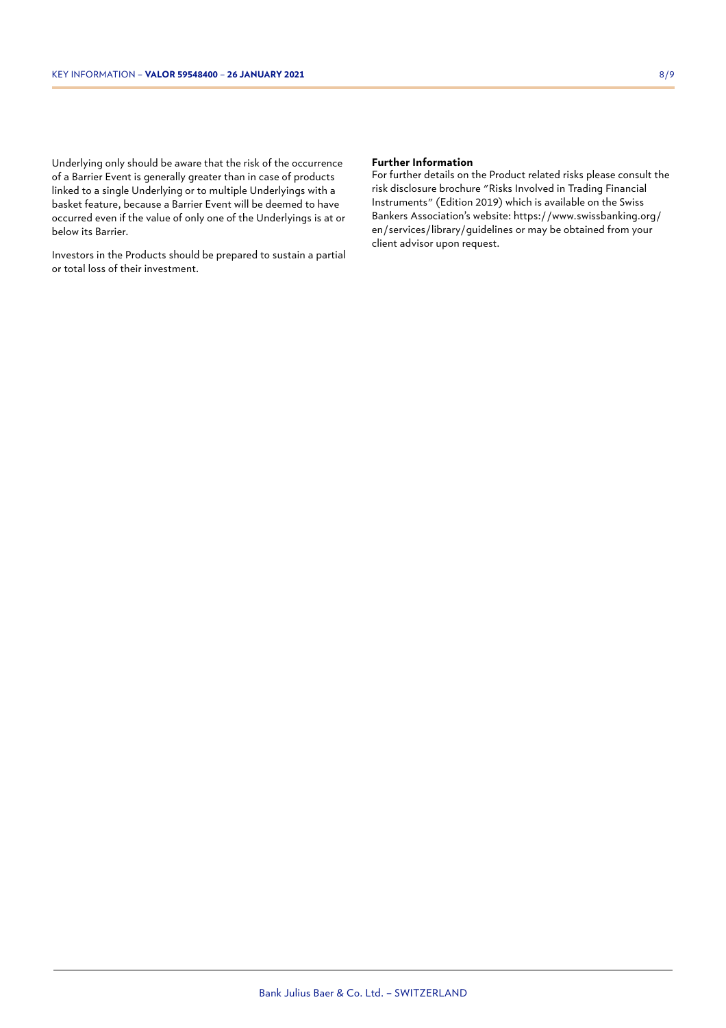Underlying only should be aware that the risk of the occurrence of a Barrier Event is generally greater than in case of products

linked to a single Underlying or to multiple Underlyings with a basket feature, because a Barrier Event will be deemed to have occurred even if the value of only one of the Underlyings is at or below its Barrier.

Investors in the Products should be prepared to sustain a partial or total loss of their investment.

#### **Further Information**

For further details on the Product related risks please consult the risk disclosure brochure "Risks Involved in Trading Financial Instruments" (Edition 2019) which is available on the Swiss Bankers Association's website: https://www.swissbanking.org/ en/services/library/guidelines or may be obtained from your client advisor upon request.